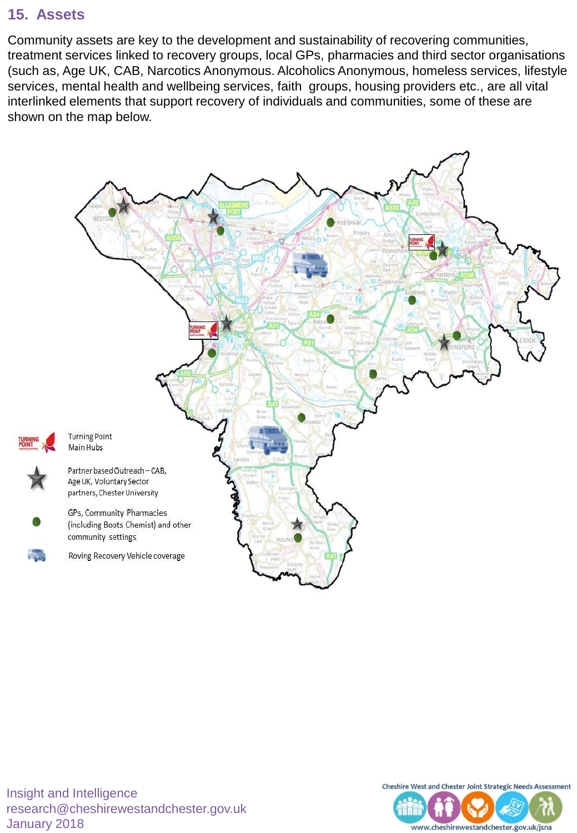# **15. Assets**

Community assets are key to the development and sustainability of recovering communities, treatment services linked to recovery groups, local GPs, pharmacies and third sector organisations (such as, Age UK, CAB, Narcotics Anonymous. Alcoholics Anonymous, homeless services, lifestyle services, mental health and wellbeing services, faith groups, housing providers etc., are all vital interlinked elements that support recovery of individuals and communities, some of these are shown on the map below.



Insight and Intelligence research@cheshirewestandchester.gov.uk January 2018



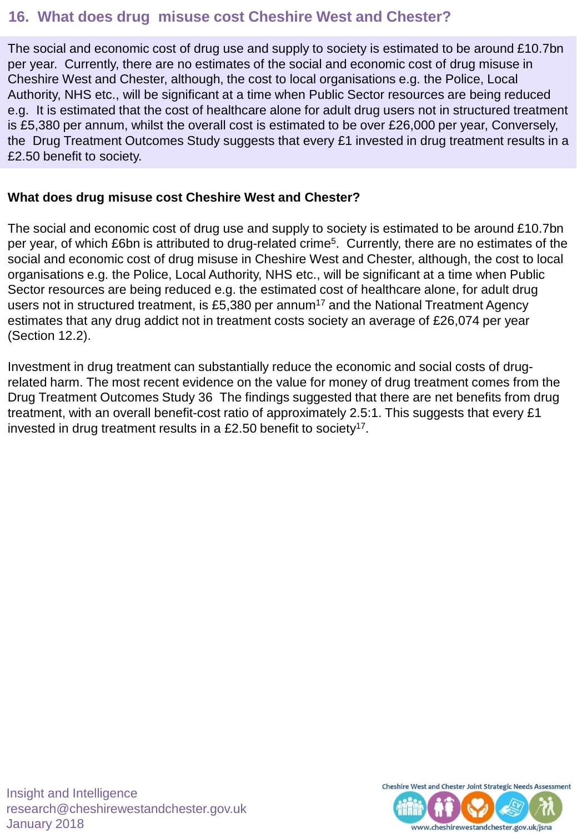### **16. What does drug misuse cost Cheshire West and Chester?**

The social and economic cost of drug use and supply to society is estimated to be around £10.7bn per year. Currently, there are no estimates of the social and economic cost of drug misuse in Cheshire West and Chester, although, the cost to local organisations e.g. the Police, Local Authority, NHS etc., will be significant at a time when Public Sector resources are being reduced e.g. It is estimated that the cost of healthcare alone for adult drug users not in structured treatment is £5,380 per annum, whilst the overall cost is estimated to be over £26,000 per year, Conversely, the Drug Treatment Outcomes Study suggests that every £1 invested in drug treatment results in a £2.50 benefit to society.

#### **What does drug misuse cost Cheshire West and Chester?**

The social and economic cost of drug use and supply to society is estimated to be around £10.7bn per year, of which £6bn is attributed to drug-related crime<sup>5</sup>. Currently, there are no estimates of the social and economic cost of drug misuse in Cheshire West and Chester, although, the cost to local organisations e.g. the Police, Local Authority, NHS etc., will be significant at a time when Public Sector resources are being reduced e.g. the estimated cost of healthcare alone, for adult drug users not in structured treatment, is £5,380 per annum<sup>17</sup> and the National Treatment Agency estimates that any drug addict not in treatment costs society an average of £26,074 per year (Section 12.2).

Investment in drug treatment can substantially reduce the economic and social costs of drugrelated harm. The most recent evidence on the value for money of drug treatment comes from the Drug Treatment Outcomes Study 36 The findings suggested that there are net benefits from drug treatment, with an overall benefit-cost ratio of approximately 2.5:1. This suggests that every £1 invested in drug treatment results in a £2.50 benefit to society<sup>17</sup>.



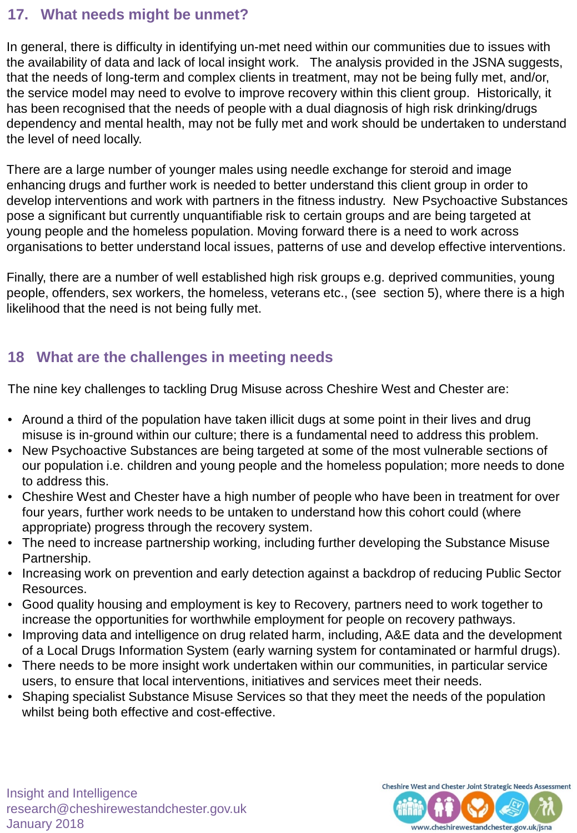### **17. What needs might be unmet?**

In general, there is difficulty in identifying un-met need within our communities due to issues with the availability of data and lack of local insight work. The analysis provided in the JSNA suggests, that the needs of long-term and complex clients in treatment, may not be being fully met, and/or, the service model may need to evolve to improve recovery within this client group. Historically, it has been recognised that the needs of people with a dual diagnosis of high risk drinking/drugs dependency and mental health, may not be fully met and work should be undertaken to understand the level of need locally.

There are a large number of younger males using needle exchange for steroid and image enhancing drugs and further work is needed to better understand this client group in order to develop interventions and work with partners in the fitness industry. New Psychoactive Substances pose a significant but currently unquantifiable risk to certain groups and are being targeted at young people and the homeless population. Moving forward there is a need to work across organisations to better understand local issues, patterns of use and develop effective interventions.

Finally, there are a number of well established high risk groups e.g. deprived communities, young people, offenders, sex workers, the homeless, veterans etc., (see section 5), where there is a high likelihood that the need is not being fully met.

# **18 What are the challenges in meeting needs**

The nine key challenges to tackling Drug Misuse across Cheshire West and Chester are:

- Around a third of the population have taken illicit dugs at some point in their lives and drug misuse is in-ground within our culture; there is a fundamental need to address this problem.
- New Psychoactive Substances are being targeted at some of the most vulnerable sections of our population i.e. children and young people and the homeless population; more needs to done to address this.
- Cheshire West and Chester have a high number of people who have been in treatment for over four years, further work needs to be untaken to understand how this cohort could (where appropriate) progress through the recovery system.
- The need to increase partnership working, including further developing the Substance Misuse Partnership.
- Increasing work on prevention and early detection against a backdrop of reducing Public Sector Resources.
- Good quality housing and employment is key to Recovery, partners need to work together to increase the opportunities for worthwhile employment for people on recovery pathways.
- Improving data and intelligence on drug related harm, including, A&E data and the development of a Local Drugs Information System (early warning system for contaminated or harmful drugs).
- There needs to be more insight work undertaken within our communities, in particular service users, to ensure that local interventions, initiatives and services meet their needs.
- Shaping specialist Substance Misuse Services so that they meet the needs of the population whilst being both effective and cost-effective.



www.cheshirewestandchester.gov.uk/jsna

itirit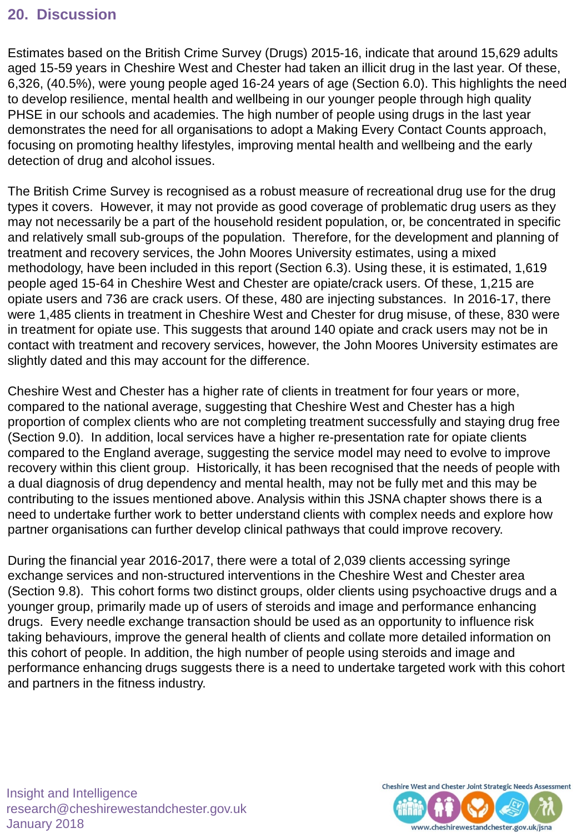### **20. Discussion**

Estimates based on the British Crime Survey (Drugs) 2015-16, indicate that around 15,629 adults aged 15-59 years in Cheshire West and Chester had taken an illicit drug in the last year. Of these, 6,326, (40.5%), were young people aged 16-24 years of age (Section 6.0). This highlights the need to develop resilience, mental health and wellbeing in our younger people through high quality PHSE in our schools and academies. The high number of people using drugs in the last year demonstrates the need for all organisations to adopt a Making Every Contact Counts approach, focusing on promoting healthy lifestyles, improving mental health and wellbeing and the early detection of drug and alcohol issues.

The British Crime Survey is recognised as a robust measure of recreational drug use for the drug types it covers. However, it may not provide as good coverage of problematic drug users as they may not necessarily be a part of the household resident population, or, be concentrated in specific and relatively small sub-groups of the population. Therefore, for the development and planning of treatment and recovery services, the John Moores University estimates, using a mixed methodology, have been included in this report (Section 6.3). Using these, it is estimated, 1,619 people aged 15-64 in Cheshire West and Chester are opiate/crack users. Of these, 1,215 are opiate users and 736 are crack users. Of these, 480 are injecting substances. In 2016-17, there were 1,485 clients in treatment in Cheshire West and Chester for drug misuse, of these, 830 were in treatment for opiate use. This suggests that around 140 opiate and crack users may not be in contact with treatment and recovery services, however, the John Moores University estimates are slightly dated and this may account for the difference.

Cheshire West and Chester has a higher rate of clients in treatment for four years or more, compared to the national average, suggesting that Cheshire West and Chester has a high proportion of complex clients who are not completing treatment successfully and staying drug free (Section 9.0). In addition, local services have a higher re-presentation rate for opiate clients compared to the England average, suggesting the service model may need to evolve to improve recovery within this client group. Historically, it has been recognised that the needs of people with a dual diagnosis of drug dependency and mental health, may not be fully met and this may be contributing to the issues mentioned above. Analysis within this JSNA chapter shows there is a need to undertake further work to better understand clients with complex needs and explore how partner organisations can further develop clinical pathways that could improve recovery.

During the financial year 2016-2017, there were a total of 2,039 clients accessing syringe exchange services and non-structured interventions in the Cheshire West and Chester area (Section 9.8). This cohort forms two distinct groups, older clients using psychoactive drugs and a younger group, primarily made up of users of steroids and image and performance enhancing drugs. Every needle exchange transaction should be used as an opportunity to influence risk taking behaviours, improve the general health of clients and collate more detailed information on this cohort of people. In addition, the high number of people using steroids and image and performance enhancing drugs suggests there is a need to undertake targeted work with this cohort and partners in the fitness industry.

Insight and Intelligence research@cheshirewestandchester.gov.uk January 2018



www.cheshirewestandchester.gov.uk/jsna

itirit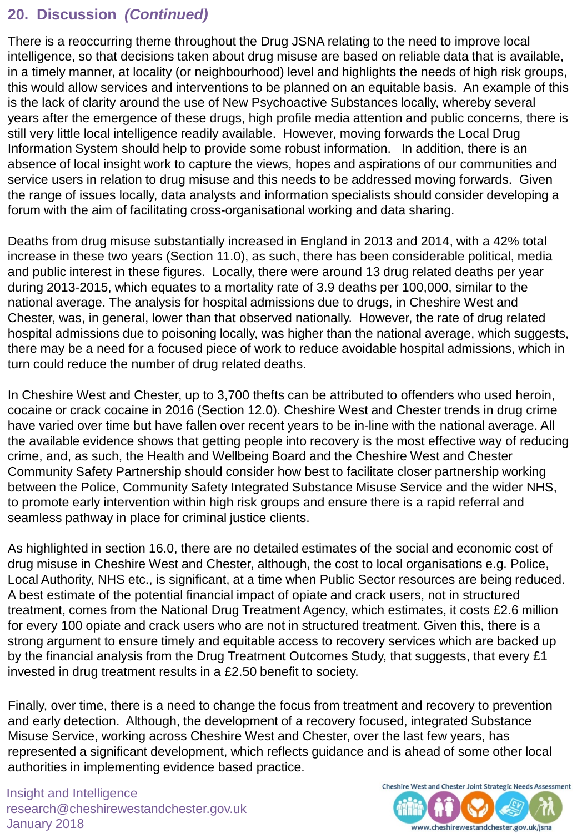## **20. Discussion** *(Continued)*

There is a reoccurring theme throughout the Drug JSNA relating to the need to improve local intelligence, so that decisions taken about drug misuse are based on reliable data that is available, in a timely manner, at locality (or neighbourhood) level and highlights the needs of high risk groups, this would allow services and interventions to be planned on an equitable basis. An example of this is the lack of clarity around the use of New Psychoactive Substances locally, whereby several years after the emergence of these drugs, high profile media attention and public concerns, there is still very little local intelligence readily available. However, moving forwards the Local Drug Information System should help to provide some robust information. In addition, there is an absence of local insight work to capture the views, hopes and aspirations of our communities and service users in relation to drug misuse and this needs to be addressed moving forwards. Given the range of issues locally, data analysts and information specialists should consider developing a forum with the aim of facilitating cross-organisational working and data sharing.

Deaths from drug misuse substantially increased in England in 2013 and 2014, with a 42% total increase in these two years (Section 11.0), as such, there has been considerable political, media and public interest in these figures. Locally, there were around 13 drug related deaths per year during 2013-2015, which equates to a mortality rate of 3.9 deaths per 100,000, similar to the national average. The analysis for hospital admissions due to drugs, in Cheshire West and Chester, was, in general, lower than that observed nationally. However, the rate of drug related hospital admissions due to poisoning locally, was higher than the national average, which suggests, there may be a need for a focused piece of work to reduce avoidable hospital admissions, which in turn could reduce the number of drug related deaths.

In Cheshire West and Chester, up to 3,700 thefts can be attributed to offenders who used heroin, cocaine or crack cocaine in 2016 (Section 12.0). Cheshire West and Chester trends in drug crime have varied over time but have fallen over recent years to be in-line with the national average. All the available evidence shows that getting people into recovery is the most effective way of reducing crime, and, as such, the Health and Wellbeing Board and the Cheshire West and Chester Community Safety Partnership should consider how best to facilitate closer partnership working between the Police, Community Safety Integrated Substance Misuse Service and the wider NHS, to promote early intervention within high risk groups and ensure there is a rapid referral and seamless pathway in place for criminal justice clients.

As highlighted in section 16.0, there are no detailed estimates of the social and economic cost of drug misuse in Cheshire West and Chester, although, the cost to local organisations e.g. Police, Local Authority, NHS etc., is significant, at a time when Public Sector resources are being reduced. A best estimate of the potential financial impact of opiate and crack users, not in structured treatment, comes from the National Drug Treatment Agency, which estimates, it costs £2.6 million for every 100 opiate and crack users who are not in structured treatment. Given this, there is a strong argument to ensure timely and equitable access to recovery services which are backed up by the financial analysis from the Drug Treatment Outcomes Study, that suggests, that every £1 invested in drug treatment results in a £2.50 benefit to society.

Finally, over time, there is a need to change the focus from treatment and recovery to prevention and early detection. Although, the development of a recovery focused, integrated Substance Misuse Service, working across Cheshire West and Chester, over the last few years, has represented a significant development, which reflects guidance and is ahead of some other local authorities in implementing evidence based practice.